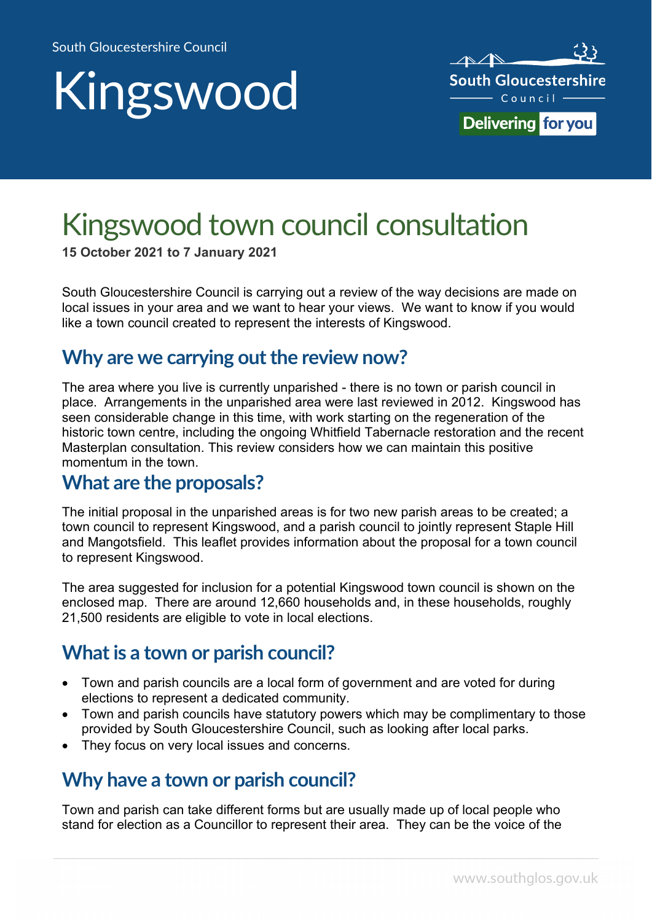# Kingswood



## Kingswood town council consultation

**15 October 2021 to 7 January 2021**

South Gloucestershire Council is carrying out a review of the way decisions are made on local issues in your area and we want to hear your views. We want to know if you would like a town council created to represent the interests of Kingswood.

#### **Why are we carrying out the review now?**

The area where you live is currently unparished - there is no town or parish council in place. Arrangements in the unparished area were last reviewed in 2012. Kingswood has seen considerable change in this time, with work starting on the regeneration of the historic town centre, including the ongoing Whitfield Tabernacle restoration and the recent Masterplan consultation. This review considers how we can maintain this positive momentum in the town.

#### **What are the proposals?**

The initial proposal in the unparished areas is for two new parish areas to be created; a town council to represent Kingswood, and a parish council to jointly represent Staple Hill and Mangotsfield. This leaflet provides information about the proposal for a town council to represent Kingswood.

The area suggested for inclusion for a potential Kingswood town council is shown on the enclosed map. There are around 12,660 households and, in these households, roughly 21,500 residents are eligible to vote in local elections.

#### **What is a town or parish council?**

- Town and parish councils are a local form of government and are voted for during elections to represent a dedicated community.
- Town and parish councils have statutory powers which may be complimentary to those provided by South Gloucestershire Council, such as looking after local parks.
- They focus on very local issues and concerns.

#### **Why have a town or parish council?**

Town and parish can take different forms but are usually made up of local people who stand for election as a Councillor to represent their area. They can be the voice of the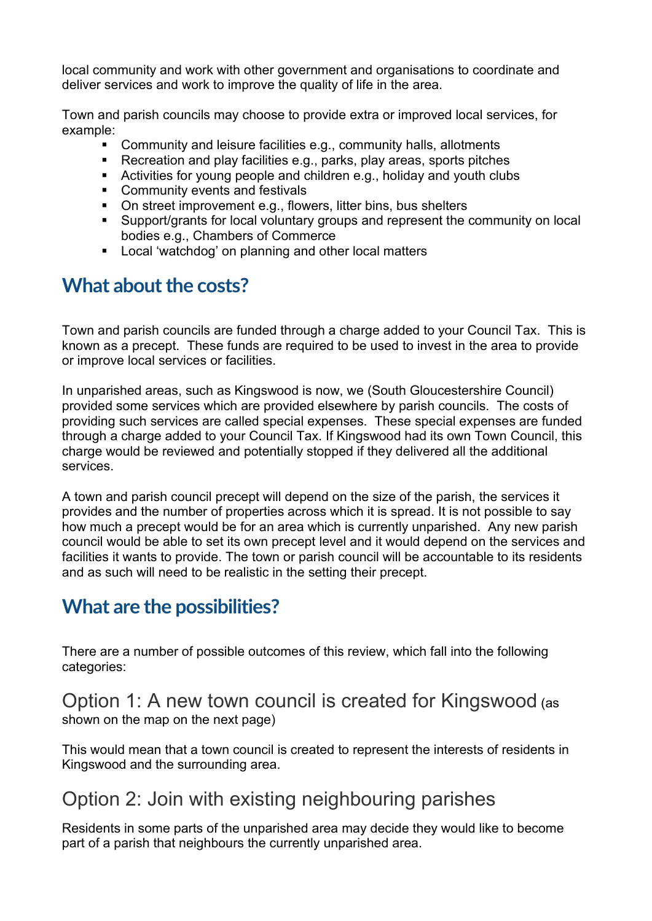local community and work with other government and organisations to coordinate and deliver services and work to improve the quality of life in the area.

Town and parish councils may choose to provide extra or improved local services, for example:

- Community and leisure facilities e.g., community halls, allotments
- Recreation and play facilities e.g., parks, play areas, sports pitches
- Activities for young people and children e.g., holiday and youth clubs
- **Community events and festivals**
- On street improvement e.g., flowers, litter bins, bus shelters
- Support/grants for local voluntary groups and represent the community on local bodies e.g., Chambers of Commerce
- **Local 'watchdog' on planning and other local matters**

#### **What about the costs?**

Town and parish councils are funded through a charge added to your Council Tax. This is known as a precept. These funds are required to be used to invest in the area to provide or improve local services or facilities.

In unparished areas, such as Kingswood is now, we (South Gloucestershire Council) provided some services which are provided elsewhere by parish councils. The costs of providing such services are called special expenses. These special expenses are funded through a charge added to your Council Tax. If Kingswood had its own Town Council, this charge would be reviewed and potentially stopped if they delivered all the additional services.

A town and parish council precept will depend on the size of the parish, the services it provides and the number of properties across which it is spread. It is not possible to say how much a precept would be for an area which is currently unparished. Any new parish council would be able to set its own precept level and it would depend on the services and facilities it wants to provide. The town or parish council will be accountable to its residents and as such will need to be realistic in the setting their precept.

#### **What are the possibilities?**

There are a number of possible outcomes of this review, which fall into the following categories:

#### Option 1: A new town council is created for Kingswood (as shown on the map on the next page)

This would mean that a town council is created to represent the interests of residents in Kingswood and the surrounding area.

#### Option 2: Join with existing neighbouring parishes

Residents in some parts of the unparished area may decide they would like to become part of a parish that neighbours the currently unparished area.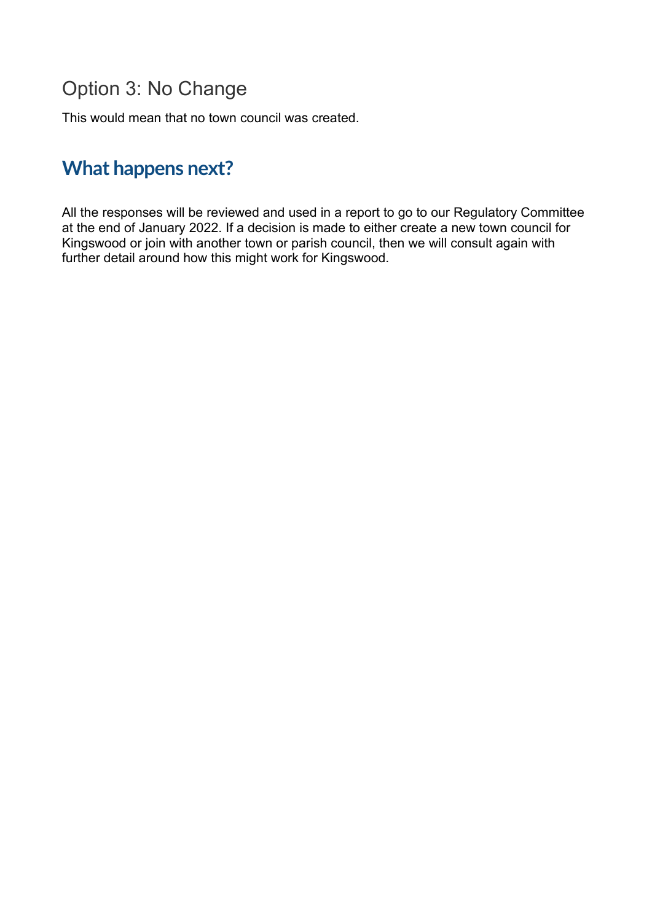#### Option 3: No Change

This would mean that no town council was created.

### **What happens next?**

All the responses will be reviewed and used in a report to go to our Regulatory Committee at the end of January 2022. If a decision is made to either create a new town council for Kingswood or join with another town or parish council, then we will consult again with further detail around how this might work for Kingswood.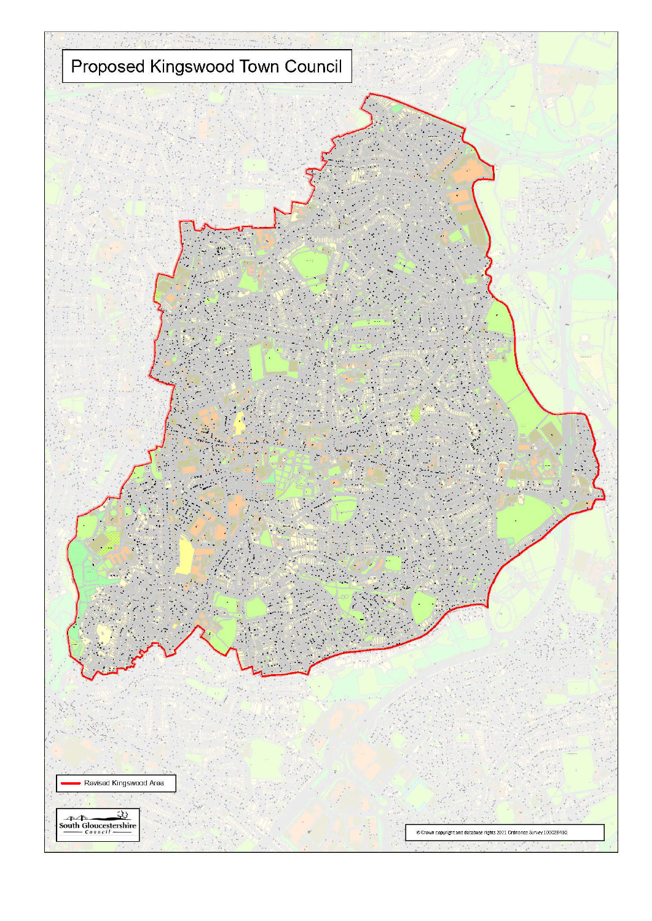